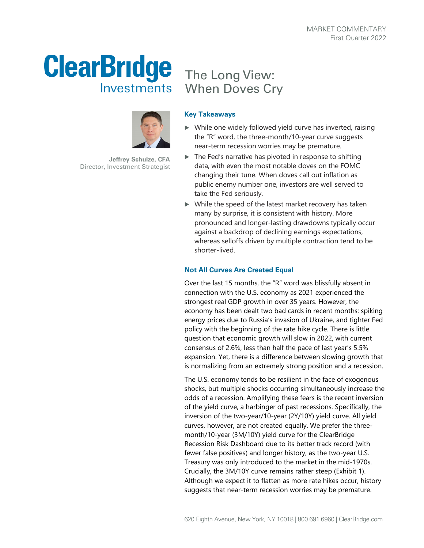## **ClearBridge** Investments



**Jeffrey Schulze, CFA** Director, Investment Strategist

## The Long View: When Doves Cry

## **Key Takeaways**

- $\triangleright$  While one widely followed yield curve has inverted, raising the "R" word, the three-month/10-year curve suggests near-term recession worries may be premature.
- $\blacktriangleright$  The Fed's narrative has pivoted in response to shifting data, with even the most notable doves on the FOMC changing their tune. When doves call out inflation as public enemy number one, investors are well served to take the Fed seriously.
- While the speed of the latest market recovery has taken many by surprise, it is consistent with history. More pronounced and longer-lasting drawdowns typically occur against a backdrop of declining earnings expectations, whereas selloffs driven by multiple contraction tend to be shorter-lived.

## **Not All Curves Are Created Equal**

Over the last 15 months, the "R" word was blissfully absent in connection with the U.S. economy as 2021 experienced the strongest real GDP growth in over 35 years. However, the economy has been dealt two bad cards in recent months: spiking energy prices due to Russia's invasion of Ukraine, and tighter Fed policy with the beginning of the rate hike cycle. There is little question that economic growth will slow in 2022, with current consensus of 2.6%, less than half the pace of last year's 5.5% expansion. Yet, there is a difference between slowing growth that is normalizing from an extremely strong position and a recession.

The U.S. economy tends to be resilient in the face of exogenous shocks, but multiple shocks occurring simultaneously increase the odds of a recession. Amplifying these fears is the recent inversion of the yield curve, a harbinger of past recessions. Specifically, the inversion of the two-year/10-year (2Y/10Y) yield curve. All yield curves, however, are not created equally. We prefer the threemonth/10-year (3M/10Y) yield curve for the ClearBridge Recession Risk Dashboard due to its better track record (with fewer false positives) and longer history, as the two-year U.S. Treasury was only introduced to the market in the mid-1970s. Crucially, the 3M/10Y curve remains rather steep (Exhibit 1). Although we expect it to flatten as more rate hikes occur, history suggests that near-term recession worries may be premature.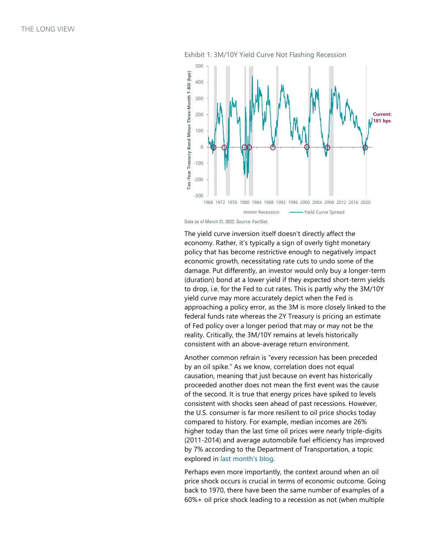

Exhibit 1: 3M/10Y Yield Curve Not Flashing Recession

Data as of March 31, 2022. Source: FactSet.

The yield curve inversion itself doesn't directly affect the economy. Rather, it's typically a sign of overly tight monetary policy that has become restrictive enough to negatively impact economic growth, necessitating rate cuts to undo some of the damage. Put differently, an investor would only buy a longer -term (duration) bond at a lower yield if they expected short -term yields to drop, i.e. for the Fed to cut rates. This is partly why the 3M/10Y yield curve may more accurately depict when the Fed is approaching a policy error, as the 3M is more closely linked to the federal funds rate whereas the 2Y Treasury is pricing an estimate of Fed policy over a longer period that may or may not be the reality. Critically, the 3M/10Y remains at levels historically consistent with an above -average return environment. <sup>1968</sup> 1982 1992 1984 1982 1984 2992 1996 2000 2004 2008 2012 2016 2008<br>
<sup>19</sup> Recession <sup>19</sup> Pred Curve Spreed<br> **The yield curve inversion itself doesn't directly affect the<br>
economy. Rather, it's typically a sign of overl** 

Another common refrain is "every recession has been preceded by an oil spike." As we know, correlation does not equal causation, meaning that just because on event has historically proceeded another does not mean the first event was the cause of the second. It is true that energy prices have spiked to levels consistent with shocks seen ahead of past recessions. However, the U.S. consumer is far more resilient to oil price shocks today compared to history. For example, median incomes are 26% higher today than the last time oil prices were nearly triple-digits (2011 -2014) and average automobile fuel efficiency has improved by 7% according to the Department of Transportation, a topic explored in [last month's blog](https://www.clearbridge.com/blogs/2022/aor-update-resilience-in-wartime) .

Perhaps even more importantly, the context around when an oil price shock occurs is crucial in terms of economic outcome. Going back to 1970, there have been the same number of examples of a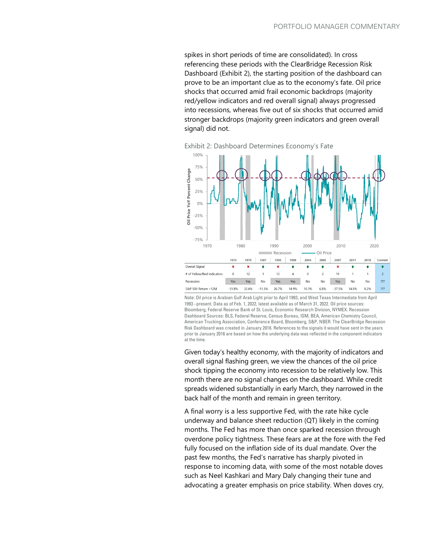spikes in short periods of time are consolidated). In cross referencing these periods with the ClearBridge Recession Risk Dashboard (Exhibit 2), the starting position of the dashboard can prove to be an important clue as to the economy's fate. Oil price shocks that occurred amid frail economic backdrops (majority red/yellow indicators and red overall signal) always progressed into recessions, whereas five out of six shocks that occurred amid stronger backdrops (majority green indicators and green overall signal) did not.

Exhibit 2: Dashboard Determines Economy's Fate



Note: Oil price is Arabian Gulf Arab Light prior to April 1993, and West Texas Intermediate from April 1993 –present. Data as of Feb. 1. 2022, latest available as of March 31, 2022. Oil price sources: Bloomberg, Federal Reserve Bank of St. Louis, Economic Research Division, NYMEX. Recession Dashboard Sources: BLS, Federal Reserve, Census Bureau, ISM, BEA, American Chemistry Council, American Trucking Association, Conference Board, Bloomberg, S&P, NBER. The ClearBridge Recession Risk Dashboard was created in January 2016. References to the signals it would have sent in the years prior to January 2016 are based on how the underlying data was reflected in the component indicators at the time.

Given today's healthy economy, with the majority of indicators and overall signal flashing green, we view the chances of the oil price shock tipping the economy into recession to be relatively low. This month there are no signal changes on the dashboard. While credit spreads widened substantially in early March, they narrowed in the back half of the month and remain in green territory.

A final worry is a less supportive Fed, with the rate hike cycle underway and balance sheet reduction (QT) likely in the coming months. The Fed has more than once sparked recession through overdone policy tightness. These fears are at the fore with the Fed fully focused on the inflation side of its dual mandate. Over the past few months, the Fed's narrative has sharply pivoted in response to incoming data, with some of the most notable doves such as Neel Kashkari and Mary Daly changing their tune and advocating a greater emphasis on price stability. When doves cry,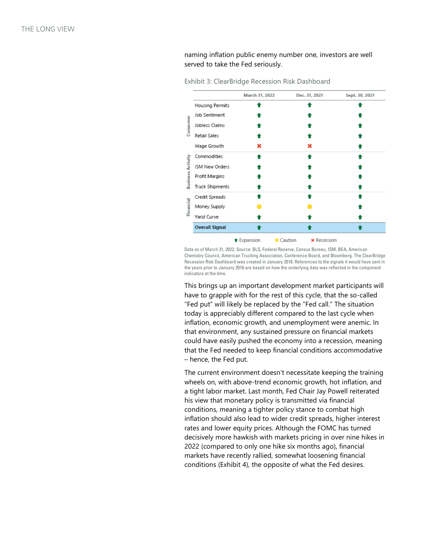naming inflation public enemy number one, investors are well served to take the Fed seriously.

|                       | March 31, 2022     | Dec. 31, 2021                 | Sept. 30, 2021 |
|-----------------------|--------------------|-------------------------------|----------------|
|                       |                    |                               |                |
| Housing Permits       |                    |                               |                |
| Job Sentiment         |                    |                               |                |
| Jobless Claims        |                    |                               |                |
| Retail Sales          |                    |                               |                |
| Wage Growth           |                    | x                             |                |
| Commodities           |                    |                               |                |
| ISM New Orders        |                    |                               |                |
| Profit Margins        |                    |                               |                |
| Truck Shipments       |                    |                               |                |
| Credit Spreads        |                    |                               |                |
| Money Supply          |                    |                               |                |
| Yield Curve           |                    |                               |                |
| <b>Overall Signal</b> |                    |                               |                |
|                       | <b>t</b> Expansion | Caution<br><b>*</b> Recession |                |

Exhibit 3: ClearBridge Recession Risk Dashboard

Data as of March 31, 2022. Source: BLS, Federal Reserve, Census Bureau, ISM, BEA, American Chemistry Council, American Trucking Association, Conference Board, and Bloomberg. The ClearBridge Recession Risk Dashboard was created in January 2016. References to the signals it would have sent in the years prior to January 2016 are based on how the underlying data was reflected in the component indicators at the time.

This brings up an important development market participants will have to grapple with for the rest of this cycle, that the so-called "Fed put" will likely be replaced by the "Fed call." The situation today is appreciably different compared to the last cycle when inflation, economic growth, and unemployment were anemic. In that environment, any sustained pressure on financial markets could have easily pushed the economy into a recession, meaning that the Fed needed to keep financial conditions accommodative – hence, the Fed put.

The current environment doesn't necessitate keeping the training wheels on, with above-trend economic growth, hot inflation, and a tight labor market. Last month, Fed Chair Jay Powell reiterated his view that monetary policy is transmitted via financial conditions, meaning a tighter policy stance to combat high inflation should also lead to wider credit spreads, higher interest rates and lower equity prices. Although the FOMC has turned decisively more hawkish with markets pricing in over nine hikes in 2022 (compared to only one hike six months ago), financial markets have recently rallied, somewhat loosening financial conditions (Exhibit 4), the opposite of what the Fed desires.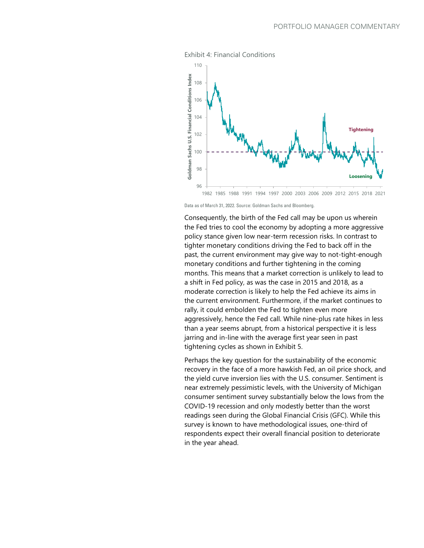![](_page_4_Figure_1.jpeg)

Exhibit 4: Financial Conditions

Consequently, the birth of the Fed call may be upon us wherein the Fed tries to cool the economy by adopting a more aggressive policy stance given low near-term recession risks. In contrast to tighter monetary conditions driving the Fed to back off in the past, the current environment may give way to not-tight-enough monetary conditions and further tightening in the coming months. This means that a market correction is unlikely to lead to a shift in Fed policy, as was the case in 2015 and 2018, as a moderate correction is likely to help the Fed achieve its aims in the current environment. Furthermore, if the market continues to rally, it could embolden the Fed to tighten even more aggressively, hence the Fed call. While nine-plus rate hikes in less than a year seems abrupt, from a historical perspective it is less jarring and in-line with the average first year seen in past tightening cycles as shown in Exhibit 5.

Perhaps the key question for the sustainability of the economic recovery in the face of a more hawkish Fed, an oil price shock, and the yield curve inversion lies with the U.S. consumer. Sentiment is near extremely pessimistic levels, with the University of Michigan consumer sentiment survey substantially below the lows from the COVID-19 recession and only modestly better than the worst readings seen during the Global Financial Crisis (GFC). While this survey is known to have methodological issues, one-third of respondents expect their overall financial position to deteriorate in the year ahead.

Data as of March 31, 2022. Source: Goldman Sachs and Bloomberg.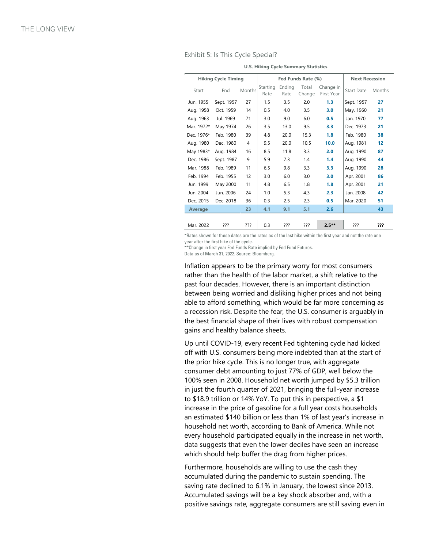| Exhibit 5: Is This Cycle Special? |  |  |  |
|-----------------------------------|--|--|--|

| <b>Hiking Cycle Timing</b> |            |                | Fed Funds Rate (%) |                |                 |                         | <b>Next Recession</b> |        |
|----------------------------|------------|----------------|--------------------|----------------|-----------------|-------------------------|-----------------------|--------|
| Start                      | End        | Months         | Starting<br>Rate   | Ending<br>Rate | Total<br>Change | Change in<br>First Year | <b>Start Date</b>     | Months |
| Jun. 1955                  | Sept. 1957 | 27             | 1.5                | 3.5            | 2.0             | 1.3                     | Sept. 1957            | 27     |
| Aug. 1958                  | Oct. 1959  | 14             | 0.5                | 4.0            | 3.5             | 3.0                     | May. 1960             | 21     |
| Aug. 1963                  | Jul. 1969  | 71             | 3.0                | 9.0            | 6.0             | 0.5                     | Jan. 1970             | 77     |
| Mar. 1972*                 | May 1974   | 26             | 3.5                | 13.0           | 9.5             | 3.3                     | Dec. 1973             | 21     |
| Dec. 1976*                 | Feb. 1980  | 39             | 4.8                | 20.0           | 15.3            | 1.8                     | Feb. 1980             | 38     |
| Aug. 1980                  | Dec. 1980  | $\overline{4}$ | 9.5                | 20.0           | 10.5            | 10.0                    | Aug. 1981             | 12     |
| May 1983*                  | Aug. 1984  | 16             | 8.5                | 11.8           | 3.3             | 2.0                     | Aug. 1990             | 87     |
| Dec. 1986                  | Sept. 1987 | 9              | 5.9                | 7.3            | 1.4             | 1.4                     | Aug. 1990             | 44     |
| Mar. 1988                  | Feb. 1989  | 11             | 6.5                | 9.8            | 3.3             | 3.3                     | Aug. 1990             | 28     |
| Feb. 1994                  | Feb. 1955  | 12             | 3.0                | 6.0            | 3.0             | 3.0                     | Apr. 2001             | 86     |
| Jun. 1999                  | May 2000   | 11             | 4.8                | 6.5            | 1.8             | 1.8                     | Apr. 2001             | 21     |
| Jun. 2004                  | Jun. 2006  | 24             | 1.0                | 5.3            | 4.3             | 2.3                     | Jan. 2008             | 42     |
| Dec. 2015                  | Dec. 2018  | 36             | 0.3                | 2.5            | 2.3             | 0.5                     | Mar. 2020             | 51     |
| Average                    |            | 23             | 4.1                | 9.1            | 5.1             | 2.6                     |                       | 43     |
|                            |            |                |                    |                |                 |                         |                       |        |
| Mar. 2022                  | ???        | ???            | 0.3                | ???            | ???             | $2.5**$                 | ???                   | ???    |

**U.S. Hiking Cycle Summary Statistics**

\*Rates shown for these dates are the rates as of the last hike within the first year and not the rate one year after the first hike of the cycle.

\*\*Change in first year Fed Funds Rate implied by Fed Fund Futures.

Data as of March 31, 2022. Source: Bloomberg.

Inflation appears to be the primary worry for most consumers rather than the health of the labor market, a shift relative to the past four decades. However, there is an important distinction between being worried and disliking higher prices and not being able to afford something, which would be far more concerning as a recession risk. Despite the fear, the U.S. consumer is arguably in the best financial shape of their lives with robust compensation gains and healthy balance sheets.

Up until COVID-19, every recent Fed tightening cycle had kicked off with U.S. consumers being more indebted than at the start of the prior hike cycle. This is no longer true, with aggregate consumer debt amounting to just 77% of GDP, well below the 100% seen in 2008. Household net worth jumped by \$5.3 trillion in just the fourth quarter of 2021, bringing the full-year increase to \$18.9 trillion or 14% YoY. To put this in perspective, a \$1 increase in the price of gasoline for a full year costs households an estimated \$140 billion or less than 1% of last year's increase in household net worth, according to Bank of America. While not every household participated equally in the increase in net worth, data suggests that even the lower deciles have seen an increase which should help buffer the drag from higher prices.

Furthermore, households are willing to use the cash they accumulated during the pandemic to sustain spending. The saving rate declined to 6.1% in January, the lowest since 2013. Accumulated savings will be a key shock absorber and, with a positive savings rate, aggregate consumers are still saving even in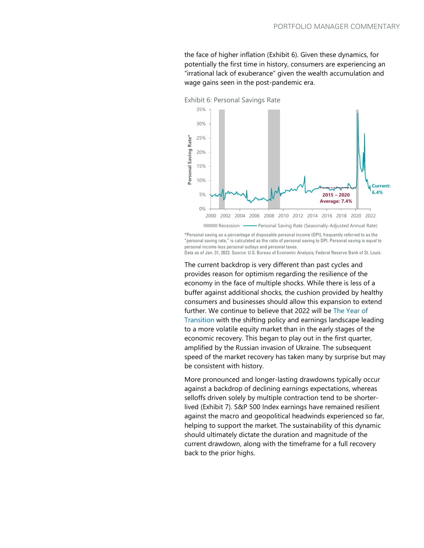the face of higher inflation (Exhibit 6). Given these dynamics, for potentially the first time in history, consumers are experiencing an "irrational lack of exuberance" given the wealth accumulation and wage gains seen in the post-pandemic era.

![](_page_6_Figure_2.jpeg)

Exhibit 6: Personal Savings Rate

\*Personal saving as a percentage of disposable personal income (DPI), frequently referred to as the "personal saving rate," is calculated as the ratio of personal saving to DPI. Personal saving is equal to personal income less personal outlays and personal taxes. Data as of Jan. 31, 2022. Source: U.S. Bureau of Economic Analysis, Federal Reserve Bank of St. Louis.

The current backdrop is very different than past cycles and provides reason for optimism regarding the resilience of the economy in the face of multiple shocks. While there is less of a buffer against additional shocks, the cushion provided by healthy consumers and businesses should allow this expansion to extend further. We continue to believe that 2022 will be [The Year of](https://www.clearbridge.com/perspectives/commentaries/2021/4q/the-long-view-4q2021)  [Transition](https://www.clearbridge.com/perspectives/commentaries/2021/4q/the-long-view-4q2021) with the shifting policy and earnings landscape leading to a more volatile equity market than in the early stages of the economic recovery. This began to play out in the first quarter, amplified by the Russian invasion of Ukraine. The subsequent speed of the market recovery has taken many by surprise but may be consistent with history.

More pronounced and longer-lasting drawdowns typically occur against a backdrop of declining earnings expectations, whereas selloffs driven solely by multiple contraction tend to be shorterlived (Exhibit 7). S&P 500 Index earnings have remained resilient against the macro and geopolitical headwinds experienced so far, helping to support the market. The sustainability of this dynamic should ultimately dictate the duration and magnitude of the current drawdown, along with the timeframe for a full recovery back to the prior highs.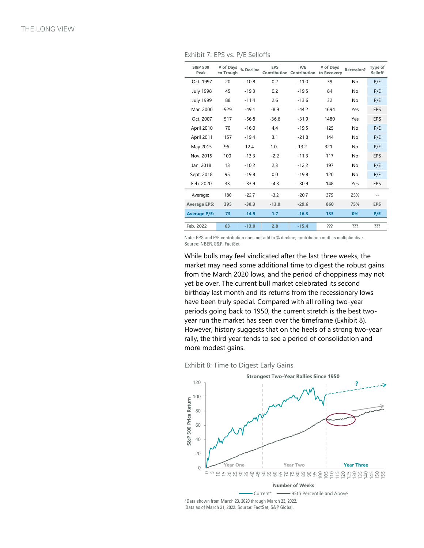Exhibit 7: EPS vs. P/E Selloffs

| S&P 500<br>Peak     | # of Days<br>to Trough | % Decline | <b>EPS</b> | P/E<br>Contribution Contribution to Recovery | # of Days | Recession?     | Type of<br>Selloff |
|---------------------|------------------------|-----------|------------|----------------------------------------------|-----------|----------------|--------------------|
| Oct. 1997           | 20                     | $-10.8$   | 0.2        | $-11.0$                                      | 39        | No.            | P/E                |
| <b>July 1998</b>    | 45                     | $-19.3$   | 0.2        | $-19.5$                                      | 84        | No.            | P/E                |
| <b>July 1999</b>    | 88                     | $-11.4$   | 2.6        | $-13.6$                                      | 32        | No.            | P/E                |
| Mar. 2000           | 929                    | $-49.1$   | $-8.9$     | $-44.2$                                      | 1694      | Yes            | <b>EPS</b>         |
| Oct. 2007           | 517                    | $-56.8$   | $-36.6$    | $-31.9$                                      | 1480      | Yes            | <b>EPS</b>         |
| April 2010          | 70                     | $-16.0$   | 4.4        | $-19.5$                                      | 125       | N <sub>o</sub> | P/E                |
| April 2011          | 157                    | $-19.4$   | 3.1        | $-21.8$                                      | 144       | No.            | P/E                |
| May 2015            | 96                     | $-12.4$   | 1.0        | $-13.2$                                      | 321       | <b>No</b>      | P/E                |
| Nov. 2015           | 100                    | $-13.3$   | $-2.2$     | $-11.3$                                      | 117       | N <sub>o</sub> | <b>EPS</b>         |
| Jan. 2018           | 13                     | $-10.2$   | 2.3        | $-12.2$                                      | 197       | N <sub>o</sub> | P/E                |
| Sept. 2018          | 95                     | $-19.8$   | 0.0        | $-19.8$                                      | 120       | No.            | P/E                |
| Feb. 2020           | 33                     | $-33.9$   | $-4.3$     | $-30.9$                                      | 148       | Yes            | <b>EPS</b>         |
| Average:            | 180                    | $-22.7$   | $-3.2$     | $-20.7$                                      | 375       | 25%            | $-$                |
| <b>Average EPS:</b> | 395                    | $-38.3$   | $-13.0$    | $-29.6$                                      | 860       | 75%            | <b>EPS</b>         |
| <b>Average P/E:</b> | 73                     | $-14.9$   | 1.7        | $-16.3$                                      | 133       | 0%             | P/E                |
|                     |                        |           |            |                                              |           |                |                    |
| Feb. 2022           | 63                     | $-13.0$   | 2.8        | $-15.4$                                      | ???       | ???            | ???                |

Note: EPS and P/E contribution does not add to % decline; contribution math is multiplicative. Source: NBER, S&P, FactSet.

While bulls may feel vindicated after the last three weeks, the market may need some additional time to digest the robust gains from the March 2020 lows, and the period of choppiness may not yet be over. The current bull market celebrated its second birthday last month and its returns from the recessionary lows have been truly special. Compared with all rolling two-year periods going back to 1950, the current stretch is the best twoyear run the market has seen over the timeframe (Exhibit 8). However, history suggests that on the heels of a strong two-year rally, the third year tends to see a period of consolidation and more modest gains.

Exhibit 8: Time to Digest Early Gains

![](_page_7_Figure_6.jpeg)